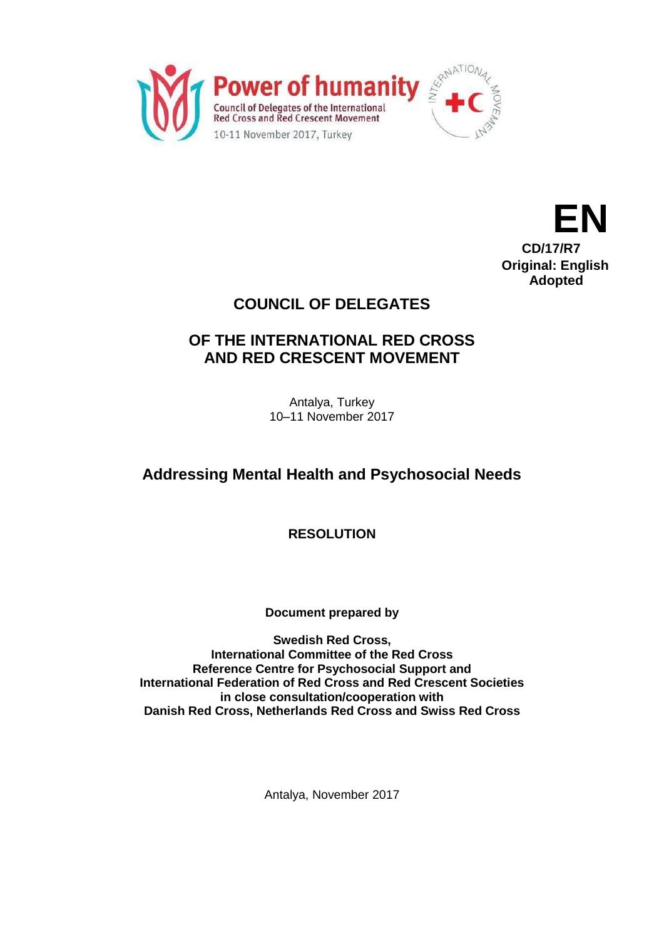



## **COUNCIL OF DELEGATES**

### **OF THE INTERNATIONAL RED CROSS AND RED CRESCENT MOVEMENT**

Antalya, Turkey 10–11 November 2017

# **Addressing Mental Health and Psychosocial Needs**

**RESOLUTION**

**Document prepared by** 

**Swedish Red Cross, International Committee of the Red Cross Reference Centre for Psychosocial Support and International Federation of Red Cross and Red Crescent Societies in close consultation/cooperation with Danish Red Cross, Netherlands Red Cross and Swiss Red Cross**

Antalya, November 2017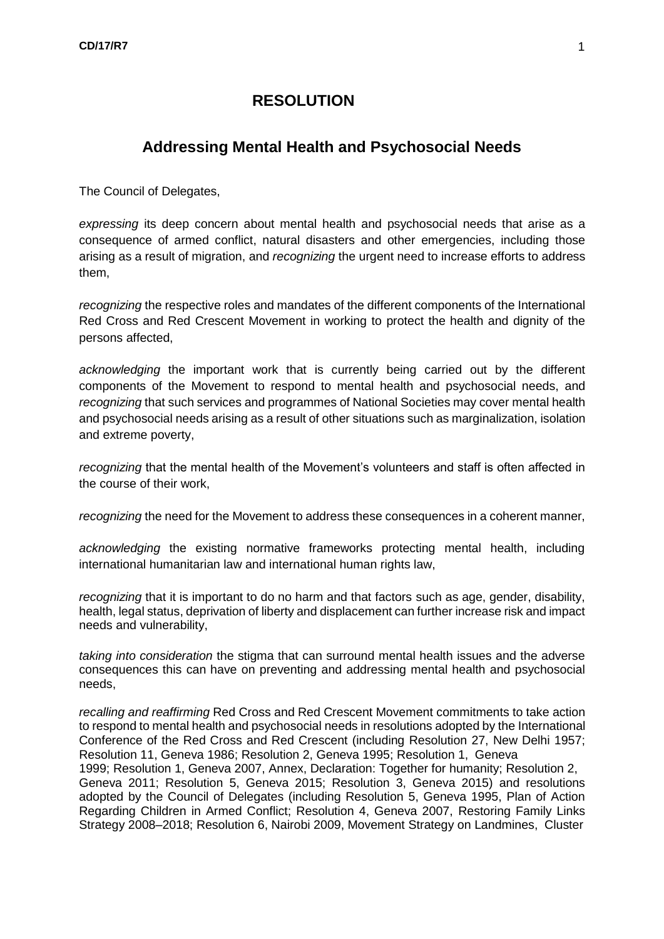### **RESOLUTION**

### **Addressing Mental Health and Psychosocial Needs**

The Council of Delegates,

*expressing* its deep concern about mental health and psychosocial needs that arise as a consequence of armed conflict, natural disasters and other emergencies, including those arising as a result of migration, and *recognizing* the urgent need to increase efforts to address them,

*recognizing* the respective roles and mandates of the different components of the International Red Cross and Red Crescent Movement in working to protect the health and dignity of the persons affected,

*acknowledging* the important work that is currently being carried out by the different components of the Movement to respond to mental health and psychosocial needs, and *recognizing* that such services and programmes of National Societies may cover mental health and psychosocial needs arising as a result of other situations such as marginalization, isolation and extreme poverty,

*recognizing* that the mental health of the Movement's volunteers and staff is often affected in the course of their work,

*recognizing* the need for the Movement to address these consequences in a coherent manner,

*acknowledging* the existing normative frameworks protecting mental health, including international humanitarian law and international human rights law,

*recognizing* that it is important to do no harm and that factors such as age, gender, disability, health, legal status, deprivation of liberty and displacement can further increase risk and impact needs and vulnerability,

*taking into consideration* the stigma that can surround mental health issues and the adverse consequences this can have on preventing and addressing mental health and psychosocial needs,

*recalling and reaffirming* Red Cross and Red Crescent Movement commitments to take action to respond to mental health and psychosocial needs in resolutions adopted by the International Conference of the Red Cross and Red Crescent (including Resolution 27, New Delhi 1957; Resolution 11, Geneva 1986; Resolution 2, Geneva 1995; Resolution 1, Geneva 1999; Resolution 1, Geneva 2007, Annex, Declaration: Together for humanity; Resolution 2, Geneva 2011; Resolution 5, Geneva 2015; Resolution 3, Geneva 2015) and resolutions adopted by the Council of Delegates (including Resolution 5, Geneva 1995, Plan of Action Regarding Children in Armed Conflict; Resolution 4, Geneva 2007, Restoring Family Links Strategy 2008–2018; Resolution 6, Nairobi 2009, Movement Strategy on Landmines, Cluster